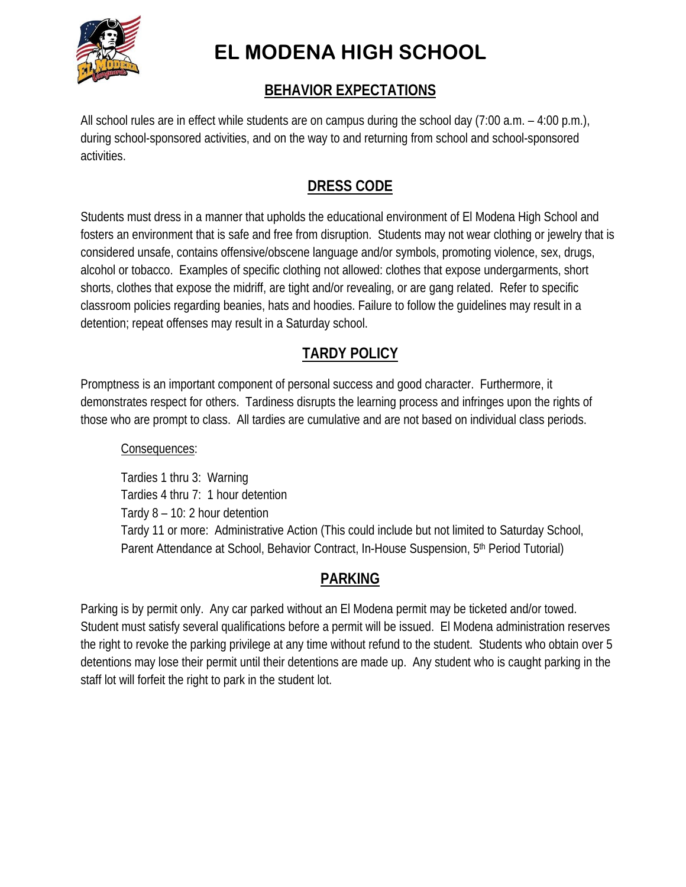

# **EL MODENA HIGH SCHOOL**

# **BEHAVIOR EXPECTATIONS**

All school rules are in effect while students are on campus during the school day (7:00 a.m. – 4:00 p.m.), during school-sponsored activities, and on the way to and returning from school and school-sponsored activities.

# **DRESS CODE**

Students must dress in a manner that upholds the educational environment of El Modena High School and fosters an environment that is safe and free from disruption. Students may not wear clothing or jewelry that is considered unsafe, contains offensive/obscene language and/or symbols, promoting violence, sex, drugs, alcohol or tobacco. Examples of specific clothing not allowed: clothes that expose undergarments, short shorts, clothes that expose the midriff, are tight and/or revealing, or are gang related. Refer to specific classroom policies regarding beanies, hats and hoodies. Failure to follow the guidelines may result in a detention; repeat offenses may result in a Saturday school.

# **TARDY POLICY**

Promptness is an important component of personal success and good character. Furthermore, it demonstrates respect for others. Tardiness disrupts the learning process and infringes upon the rights of those who are prompt to class. All tardies are cumulative and are not based on individual class periods.

### Consequences:

Tardies 1 thru 3: Warning Tardies 4 thru 7: 1 hour detention Tardy 8 – 10: 2 hour detention Tardy 11 or more: Administrative Action (This could include but not limited to Saturday School, Parent Attendance at School, Behavior Contract, In-House Suspension, 5<sup>th</sup> Period Tutorial)

# **PARKING**

Parking is by permit only. Any car parked without an El Modena permit may be ticketed and/or towed. Student must satisfy several qualifications before a permit will be issued. El Modena administration reserves the right to revoke the parking privilege at any time without refund to the student. Students who obtain over 5 detentions may lose their permit until their detentions are made up. Any student who is caught parking in the staff lot will forfeit the right to park in the student lot.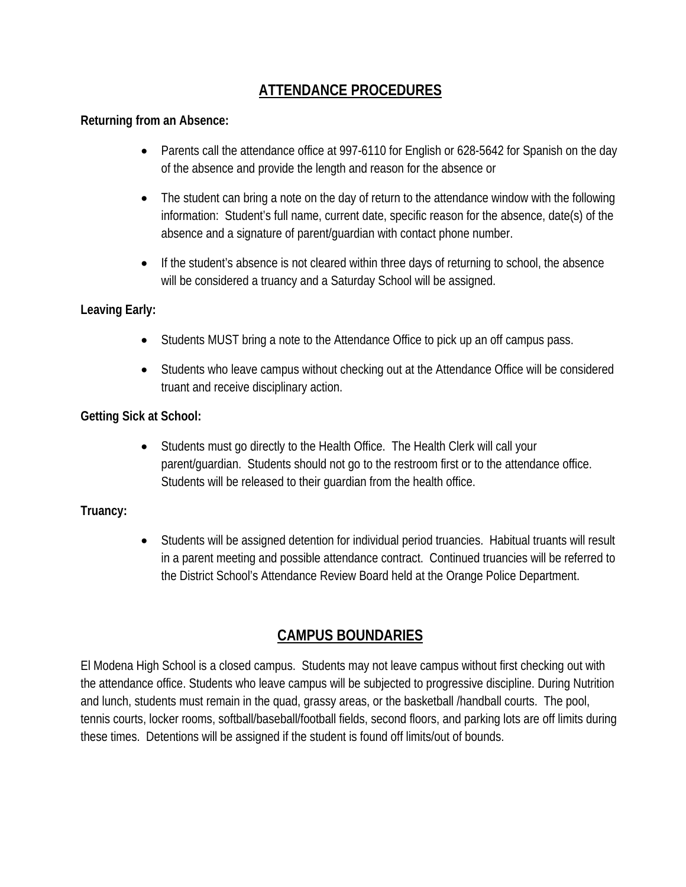# **ATTENDANCE PROCEDURES**

#### **Returning from an Absence:**

- Parents call the attendance office at 997-6110 for English or 628-5642 for Spanish on the day of the absence and provide the length and reason for the absence or
- The student can bring a note on the day of return to the attendance window with the following information: Student's full name, current date, specific reason for the absence, date(s) of the absence and a signature of parent/guardian with contact phone number.
- If the student's absence is not cleared within three days of returning to school, the absence will be considered a truancy and a Saturday School will be assigned.

#### **Leaving Early:**

- Students MUST bring a note to the Attendance Office to pick up an off campus pass.
- Students who leave campus without checking out at the Attendance Office will be considered truant and receive disciplinary action.

#### **Getting Sick at School:**

 Students must go directly to the Health Office. The Health Clerk will call your parent/guardian. Students should not go to the restroom first or to the attendance office. Students will be released to their guardian from the health office.

#### **Truancy:**

 Students will be assigned detention for individual period truancies. Habitual truants will result in a parent meeting and possible attendance contract. Continued truancies will be referred to the District School's Attendance Review Board held at the Orange Police Department.

# **CAMPUS BOUNDARIES**

El Modena High School is a closed campus. Students may not leave campus without first checking out with the attendance office. Students who leave campus will be subjected to progressive discipline. During Nutrition and lunch, students must remain in the quad, grassy areas, or the basketball /handball courts. The pool, tennis courts, locker rooms, softball/baseball/football fields, second floors, and parking lots are off limits during these times. Detentions will be assigned if the student is found off limits/out of bounds.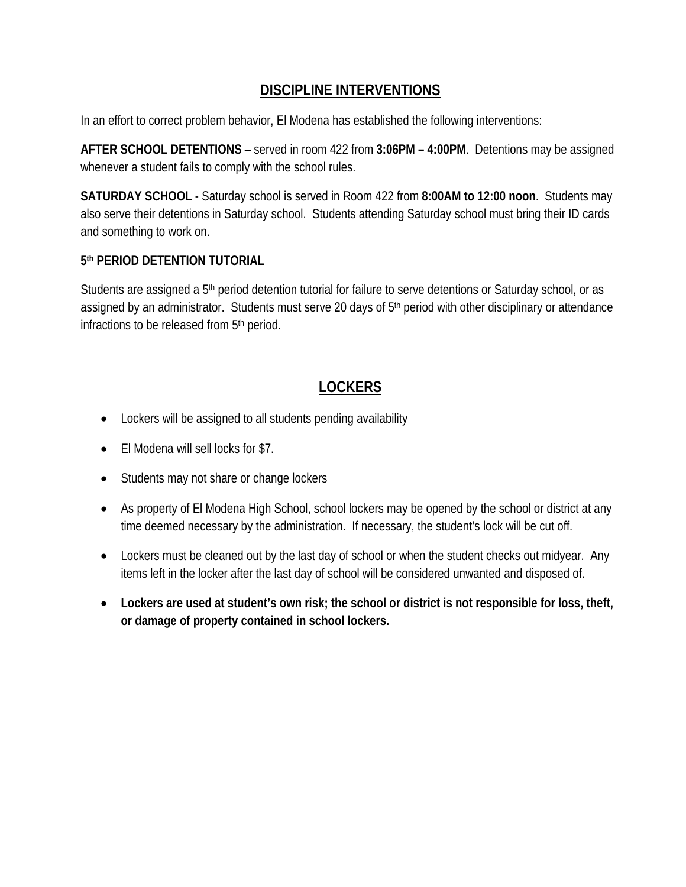# **DISCIPLINE INTERVENTIONS**

In an effort to correct problem behavior, El Modena has established the following interventions:

**AFTER SCHOOL DETENTIONS** – served in room 422 from **3:06PM – 4:00PM**. Detentions may be assigned whenever a student fails to comply with the school rules.

**SATURDAY SCHOOL** - Saturday school is served in Room 422 from **8:00AM to 12:00 noon**. Students may also serve their detentions in Saturday school. Students attending Saturday school must bring their ID cards and something to work on.

#### **5th PERIOD DETENTION TUTORIAL**

Students are assigned a 5<sup>th</sup> period detention tutorial for failure to serve detentions or Saturday school, or as assigned by an administrator. Students must serve 20 days of 5<sup>th</sup> period with other disciplinary or attendance infractions to be released from 5<sup>th</sup> period.

# **LOCKERS**

- Lockers will be assigned to all students pending availability
- El Modena will sell locks for \$7.
- Students may not share or change lockers
- As property of El Modena High School, school lockers may be opened by the school or district at any time deemed necessary by the administration. If necessary, the student's lock will be cut off.
- Lockers must be cleaned out by the last day of school or when the student checks out midyear. Any items left in the locker after the last day of school will be considered unwanted and disposed of.
- **Lockers are used at student's own risk; the school or district is not responsible for loss, theft, or damage of property contained in school lockers.**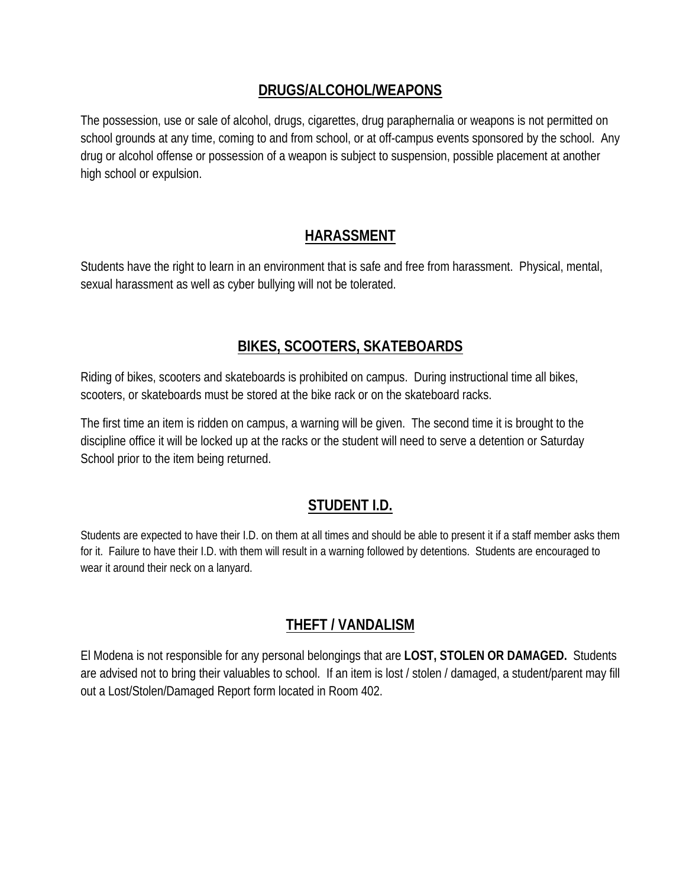### **DRUGS/ALCOHOL/WEAPONS**

The possession, use or sale of alcohol, drugs, cigarettes, drug paraphernalia or weapons is not permitted on school grounds at any time, coming to and from school, or at off-campus events sponsored by the school. Any drug or alcohol offense or possession of a weapon is subject to suspension, possible placement at another high school or expulsion.

# **HARASSMENT**

Students have the right to learn in an environment that is safe and free from harassment. Physical, mental, sexual harassment as well as cyber bullying will not be tolerated.

# **BIKES, SCOOTERS, SKATEBOARDS**

Riding of bikes, scooters and skateboards is prohibited on campus. During instructional time all bikes, scooters, or skateboards must be stored at the bike rack or on the skateboard racks.

The first time an item is ridden on campus, a warning will be given. The second time it is brought to the discipline office it will be locked up at the racks or the student will need to serve a detention or Saturday School prior to the item being returned.

# **STUDENT I.D.**

Students are expected to have their I.D. on them at all times and should be able to present it if a staff member asks them for it. Failure to have their I.D. with them will result in a warning followed by detentions. Students are encouraged to wear it around their neck on a lanyard.

# **THEFT / VANDALISM**

El Modena is not responsible for any personal belongings that are **LOST, STOLEN OR DAMAGED.** Students are advised not to bring their valuables to school. If an item is lost / stolen / damaged, a student/parent may fill out a Lost/Stolen/Damaged Report form located in Room 402.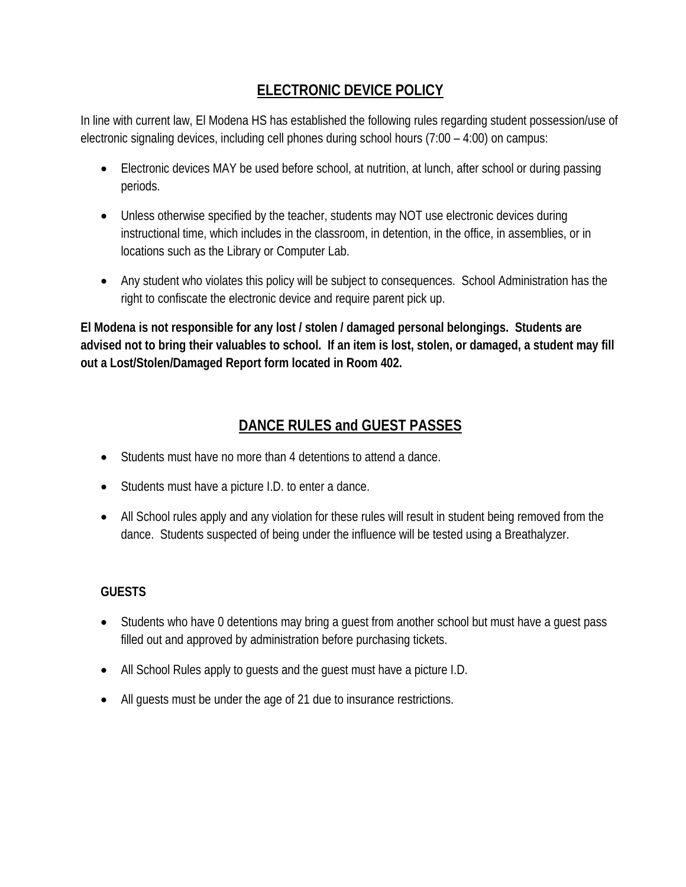# **ELECTRONIC DEVICE POLICY**

In line with current law, El Modena HS has established the following rules regarding student possession/use of electronic signaling devices, including cell phones during school hours (7:00 – 4:00) on campus:

- Electronic devices MAY be used before school, at nutrition, at lunch, after school or during passing periods.
- Unless otherwise specified by the teacher, students may NOT use electronic devices during instructional time, which includes in the classroom, in detention, in the office, in assemblies, or in locations such as the Library or Computer Lab.
- Any student who violates this policy will be subject to consequences. School Administration has the right to confiscate the electronic device and require parent pick up.

**El Modena is not responsible for any lost / stolen / damaged personal belongings. Students are advised not to bring their valuables to school. If an item is lost, stolen, or damaged, a student may fill out a Lost/Stolen/Damaged Report form located in Room 402.** 

# **DANCE RULES and GUEST PASSES**

- Students must have no more than 4 detentions to attend a dance.
- Students must have a picture I.D. to enter a dance.
- All School rules apply and any violation for these rules will result in student being removed from the dance. Students suspected of being under the influence will be tested using a Breathalyzer.

### **GUESTS**

- Students who have 0 detentions may bring a guest from another school but must have a guest pass filled out and approved by administration before purchasing tickets.
- All School Rules apply to guests and the guest must have a picture I.D.
- All guests must be under the age of 21 due to insurance restrictions.